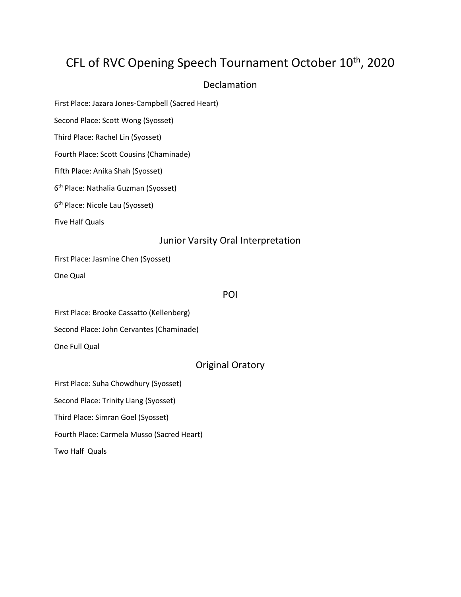# CFL of RVC Opening Speech Tournament October 10<sup>th</sup>, 2020

# Declamation

First Place: Jazara Jones-Campbell (Sacred Heart)

Second Place: Scott Wong (Syosset)

Third Place: Rachel Lin (Syosset)

Fourth Place: Scott Cousins (Chaminade)

Fifth Place: Anika Shah (Syosset)

6<sup>th</sup> Place: Nathalia Guzman (Syosset)

6 th Place: Nicole Lau (Syosset)

Five Half Quals

## Junior Varsity Oral Interpretation

First Place: Jasmine Chen (Syosset)

One Qual

#### POI

First Place: Brooke Cassatto (Kellenberg)

Second Place: John Cervantes (Chaminade)

One Full Qual

# Original Oratory

First Place: Suha Chowdhury (Syosset)

Second Place: Trinity Liang (Syosset)

Third Place: Simran Goel (Syosset)

Fourth Place: Carmela Musso (Sacred Heart)

Two Half Quals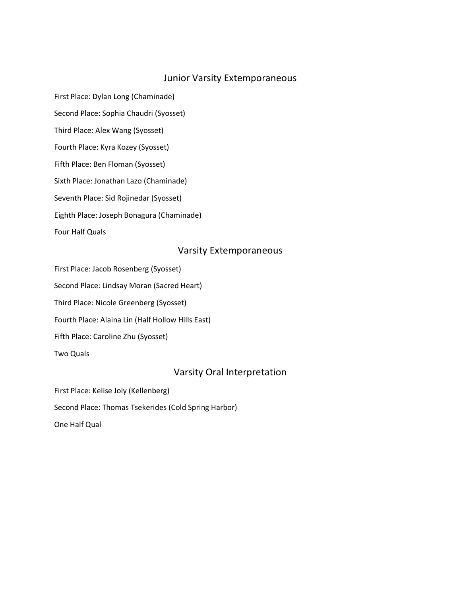### Junior Varsity Extemporaneous

First Place: Dylan Long (Chaminade) Second Place: Sophia Chaudri (Syosset) Third Place: Alex Wang (Syosset) Fourth Place: Kyra Kozey (Syosset) Fifth Place: Ben Floman (Syosset) Sixth Place: Jonathan Lazo (Chaminade) Seventh Place: Sid Rojinedar (Syosset) Eighth Place: Joseph Bonagura (Chaminade) Four Half Quals

#### Varsity Extemporaneous

First Place: Jacob Rosenberg (Syosset)

Second Place: Lindsay Moran (Sacred Heart)

Third Place: Nicole Greenberg (Syosset)

Fourth Place: Alaina Lin (Half Hollow Hills East)

Fifth Place: Caroline Zhu (Syosset)

Two Quals

## Varsity Oral Interpretation

First Place: Kelise Joly (Kellenberg)

Second Place: Thomas Tsekerides (Cold Spring Harbor)

One Half Qual